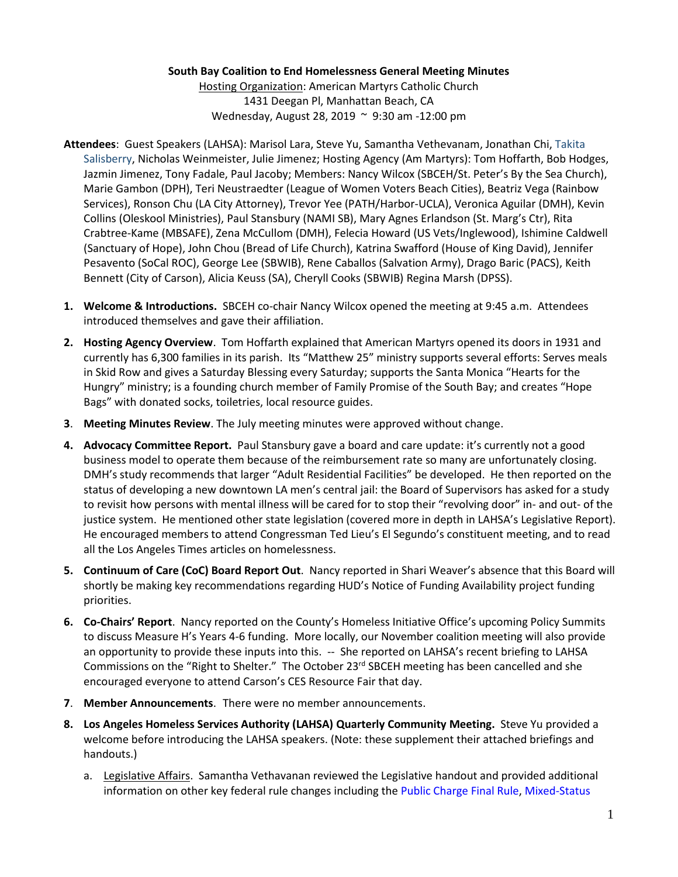## **South Bay Coalition to End Homelessness General Meeting Minutes**

Hosting Organization: American Martyrs Catholic Church 1431 Deegan Pl, Manhattan Beach, CA Wednesday, August 28, 2019 ~ 9:30 am -12:00 pm

- **Attendees**: Guest Speakers (LAHSA): Marisol Lara, Steve Yu, Samantha Vethevanam, Jonathan Chi, Takita Salisberry, Nicholas Weinmeister, Julie Jimenez; Hosting Agency (Am Martyrs): Tom Hoffarth, Bob Hodges, Jazmin Jimenez, Tony Fadale, Paul Jacoby; Members: Nancy Wilcox (SBCEH/St. Peter's By the Sea Church), Marie Gambon (DPH), Teri Neustraedter (League of Women Voters Beach Cities), Beatriz Vega (Rainbow Services), Ronson Chu (LA City Attorney), Trevor Yee (PATH/Harbor-UCLA), Veronica Aguilar (DMH), Kevin Collins (Oleskool Ministries), Paul Stansbury (NAMI SB), Mary Agnes Erlandson (St. Marg's Ctr), Rita Crabtree-Kame (MBSAFE), Zena McCullom (DMH), Felecia Howard (US Vets/Inglewood), Ishimine Caldwell (Sanctuary of Hope), John Chou (Bread of Life Church), Katrina Swafford (House of King David), Jennifer Pesavento (SoCal ROC), George Lee (SBWIB), Rene Caballos (Salvation Army), Drago Baric (PACS), Keith Bennett (City of Carson), Alicia Keuss (SA), Cheryll Cooks (SBWIB) Regina Marsh (DPSS).
- **1. Welcome & Introductions.** SBCEH co-chair Nancy Wilcox opened the meeting at 9:45 a.m. Attendees introduced themselves and gave their affiliation.
- **2. Hosting Agency Overview**. Tom Hoffarth explained that American Martyrs opened its doors in 1931 and currently has 6,300 families in its parish. Its "Matthew 25" ministry supports several efforts: Serves meals in Skid Row and gives a Saturday Blessing every Saturday; supports the Santa Monica "Hearts for the Hungry" ministry; is a founding church member of Family Promise of the South Bay; and creates "Hope Bags" with donated socks, toiletries, local resource guides.
- **3**. **Meeting Minutes Review**. The July meeting minutes were approved without change.
- **4. Advocacy Committee Report.** Paul Stansbury gave a board and care update: it's currently not a good business model to operate them because of the reimbursement rate so many are unfortunately closing. DMH's study recommends that larger "Adult Residential Facilities" be developed. He then reported on the status of developing a new downtown LA men's central jail: the Board of Supervisors has asked for a study to revisit how persons with mental illness will be cared for to stop their "revolving door" in- and out- of the justice system. He mentioned other state legislation (covered more in depth in LAHSA's Legislative Report). He encouraged members to attend Congressman Ted Lieu's El Segundo's constituent meeting, and to read all the Los Angeles Times articles on homelessness.
- **5. Continuum of Care (CoC) Board Report Out**. Nancy reported in Shari Weaver's absence that this Board will shortly be making key recommendations regarding HUD's Notice of Funding Availability project funding priorities.
- **6. Co-Chairs' Report**. Nancy reported on the County's Homeless Initiative Office's upcoming Policy Summits to discuss Measure H's Years 4-6 funding. More locally, our November coalition meeting will also provide an opportunity to provide these inputs into this. -- She reported on LAHSA's recent briefing to LAHSA Commissions on the "Right to Shelter." The October 23rd SBCEH meeting has been cancelled and she encouraged everyone to attend Carson's CES Resource Fair that day.
- **7**. **Member Announcements**. There were no member announcements.
- **8. Los Angeles Homeless Services Authority (LAHSA) Quarterly Community Meeting.** Steve Yu provided a welcome before introducing the LAHSA speakers. (Note: these supplement their attached briefings and handouts.)
	- a. Legislative Affairs. Samantha Vethavanan reviewed the Legislative handout and provided additional information on other key federal rule changes including the [Public Charge Final Rule,](http://r20.rs6.net/tn.jsp?f=001-pc5Dl7GTwS92cPIsBsSHRDrF8wbyrCKM2Y1B-ly_NqVhzMJa30UIXQdzu7left3z9wkMrqPCUoDg10QX9VwGTqGiXzM4s9M-AC7HKWzzSgWTN9pk9NsnMaF3LKtpGhyJ_NnYawFk1ymfbLRthuXx_DBQhVgxuCgO9685T5BxyCOJofEE-XlukNvl2fij1D5vslne_7yXBfsy2K2dswXxrPqQZ2yFKuQsi9Wyv5ZySKxRHdHo1MN_A==&c=FqFQMIHjhk4TN5G8vkUAEtMD01LTy3u6--7rMqwJOfODlPya_PLT4g==&ch=Swy7dLNgnGyduK4U7SXGQ6cDvpzflS9RyCt5iiX3gj9BSwdW_PubLw==) [Mixed-Status](http://r20.rs6.net/tn.jsp?f=001-pc5Dl7GTwS92cPIsBsSHRDrF8wbyrCKM2Y1B-ly_NqVhzMJa30UIXQdzu7left3ZKirv9oNVyB6LSnMOWTktYPyOlKVSHNvcSTrW8x2GLe7_afo_5qy5SHYiCMTgcv8wQfEX-bJD6pKax72_sthzXsa5_isHQgXKlqmIUqSIRDodjJHRbcuZ2V_Zo8Bmd7UTUMrzbVPBePBxDFMOImyHQdNzTLdxTOehsvPVNi8m6C9TTfeD_b9IYnmgOsBjlNUMahz1mfILBVumJnLlABf0DTAjuw-Bn1UVDUq4MzDNx7Ud4iGGOVOEMZIGp-A9QLqeYVtREqn9Yc-kEfqrfXCOg==&c=FqFQMIHjhk4TN5G8vkUAEtMD01LTy3u6--7rMqwJOfODlPya_PLT4g==&ch=Swy7dLNgnGyduK4U7SXGQ6cDvpzflS9RyCt5iiX3gj9BSwdW_PubLw==)